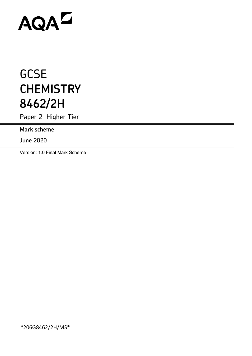# AQAZ

# **GCSE CHEMISTRY 8462/2H**

Paper 2 Higher Tier

**Mark scheme**

June 2020

Version: 1.0 Final Mark Scheme

\*206G8462/2H/MS\*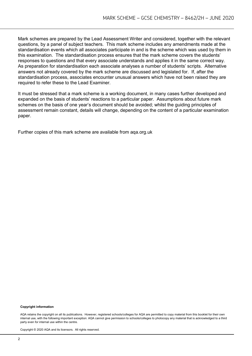Mark schemes are prepared by the Lead Assessment Writer and considered, together with the relevant questions, by a panel of subject teachers. This mark scheme includes any amendments made at the standardisation events which all associates participate in and is the scheme which was used by them in this examination. The standardisation process ensures that the mark scheme covers the students' responses to questions and that every associate understands and applies it in the same correct way. As preparation for standardisation each associate analyses a number of students' scripts. Alternative answers not already covered by the mark scheme are discussed and legislated for. If, after the standardisation process, associates encounter unusual answers which have not been raised they are required to refer these to the Lead Examiner.

It must be stressed that a mark scheme is a working document, in many cases further developed and expanded on the basis of students' reactions to a particular paper. Assumptions about future mark schemes on the basis of one year's document should be avoided; whilst the guiding principles of assessment remain constant, details will change, depending on the content of a particular examination paper.

Further copies of this mark scheme are available from aqa.org.uk

#### **Copyright information**

AQA retains the copyright on all its publications. However, registered schools/colleges for AQA are permitted to copy material from this booklet for their own internal use, with the following important exception: AQA cannot give permission to schools/colleges to photocopy any material that is acknowledged to a third party even for internal use within the centre.

Copyright © 2020 AQA and its licensors. All rights reserved.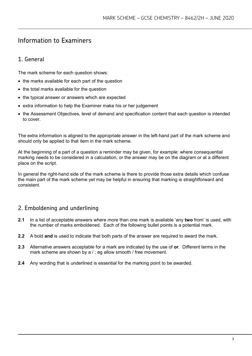# Information to Examiners

# 1. General

The mark scheme for each question shows:

- the marks available for each part of the question
- the total marks available for the question
- the typical answer or answers which are expected
- extra information to help the Examiner make his or her judgement
- the Assessment Objectives, level of demand and specification content that each question is intended to cover.

The extra information is aligned to the appropriate answer in the left-hand part of the mark scheme and should only be applied to that item in the mark scheme.

At the beginning of a part of a question a reminder may be given, for example: where consequential marking needs to be considered in a calculation; or the answer may be on the diagram or at a different place on the script.

In general the right-hand side of the mark scheme is there to provide those extra details which confuse the main part of the mark scheme yet may be helpful in ensuring that marking is straightforward and consistent.

# 2. Emboldening and underlining

- **2.1** In a list of acceptable answers where more than one mark is available 'any **two** from' is used, with the number of marks emboldened. Each of the following bullet points is a potential mark.
- **2.2** A bold **and** is used to indicate that both parts of the answer are required to award the mark.
- **2.3** Alternative answers acceptable for a mark are indicated by the use of **or**. Different terms in the mark scheme are shown by a / ; eg allow smooth / free movement.
- **2.4** Any wording that is underlined is essential for the marking point to be awarded.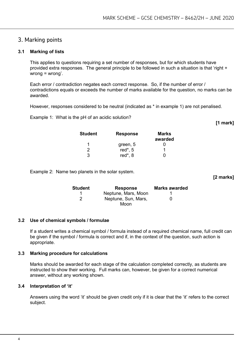# 3. Marking points

#### **3.1 Marking of lists**

This applies to questions requiring a set number of responses, but for which students have provided extra responses. The general principle to be followed in such a situation is that 'right + wrong = wrong'.

Each error / contradiction negates each correct response. So, if the number of error / contradictions equals or exceeds the number of marks available for the question, no marks can be awarded.

However, responses considered to be neutral (indicated as \* in example 1) are not penalised.

Example 1: What is the pH of an acidic solution?

**[1 mark]**

**[2 marks]**

| <b>Student</b> | <b>Response</b> | Marks<br>awarded |
|----------------|-----------------|------------------|
| 1              | green, 5        |                  |
| 2              | red $*$ , 5     |                  |
| 3              | red*, 8         |                  |

Example 2: Name two planets in the solar system.

**Student Response Marks awarded** 1 **Neptune, Mars, Moon** 1 2 Neptune, Sun, Mars, Moon  $\Omega$ 

#### **3.2 Use of chemical symbols / formulae**

If a student writes a chemical symbol / formula instead of a required chemical name, full credit can be given if the symbol / formula is correct and if, in the context of the question, such action is appropriate.

#### **3.3 Marking procedure for calculations**

Marks should be awarded for each stage of the calculation completed correctly, as students are instructed to show their working. Full marks can, however, be given for a correct numerical answer, without any working shown.

#### **3.4 Interpretation of 'it'**

Answers using the word 'it' should be given credit only if it is clear that the 'it' refers to the correct subject.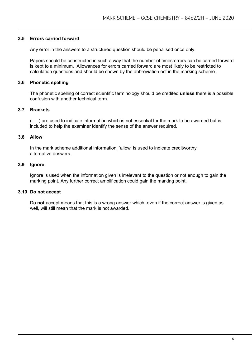#### **3.5 Errors carried forward**

Any error in the answers to a structured question should be penalised once only.

Papers should be constructed in such a way that the number of times errors can be carried forward is kept to a minimum. Allowances for errors carried forward are most likely to be restricted to calculation questions and should be shown by the abbreviation ecf in the marking scheme.

#### **3.6 Phonetic spelling**

The phonetic spelling of correct scientific terminology should be credited **unless** there is a possible confusion with another technical term.

#### **3.7 Brackets**

(…..) are used to indicate information which is not essential for the mark to be awarded but is included to help the examiner identify the sense of the answer required.

#### **3.8 Allow**

In the mark scheme additional information, 'allow' is used to indicate creditworthy alternative answers.

#### **3.9 Ignore**

Ignore is used when the information given is irrelevant to the question or not enough to gain the marking point. Any further correct amplification could gain the marking point.

#### **3.10 Do not accept**

Do **not** accept means that this is a wrong answer which, even if the correct answer is given as well, will still mean that the mark is not awarded.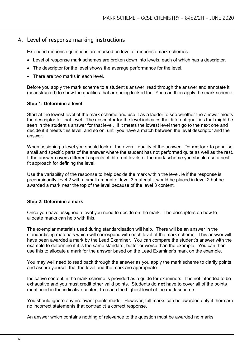#### 4. Level of response marking instructions

Extended response questions are marked on level of response mark schemes.

- Level of response mark schemes are broken down into levels, each of which has a descriptor.
- The descriptor for the level shows the average performance for the level.
- There are two marks in each level

Before you apply the mark scheme to a student's answer, read through the answer and annotate it (as instructed) to show the qualities that are being looked for. You can then apply the mark scheme.

#### **Step 1: Determine a level**

Start at the lowest level of the mark scheme and use it as a ladder to see whether the answer meets the descriptor for that level. The descriptor for the level indicates the different qualities that might be seen in the student's answer for that level. If it meets the lowest level then go to the next one and decide if it meets this level, and so on, until you have a match between the level descriptor and the answer.

When assigning a level you should look at the overall quality of the answer. Do **not** look to penalise small and specific parts of the answer where the student has not performed quite as well as the rest. If the answer covers different aspects of different levels of the mark scheme you should use a best fit approach for defining the level.

Use the variability of the response to help decide the mark within the level, ie if the response is predominantly level 2 with a small amount of level 3 material it would be placed in level 2 but be awarded a mark near the top of the level because of the level 3 content.

#### **Step 2: Determine a mark**

Once you have assigned a level you need to decide on the mark. The descriptors on how to allocate marks can help with this.

The exemplar materials used during standardisation will help. There will be an answer in the standardising materials which will correspond with each level of the mark scheme. This answer will have been awarded a mark by the Lead Examiner. You can compare the student's answer with the example to determine if it is the same standard, better or worse than the example. You can then use this to allocate a mark for the answer based on the Lead Examiner's mark on the example.

You may well need to read back through the answer as you apply the mark scheme to clarify points and assure yourself that the level and the mark are appropriate.

Indicative content in the mark scheme is provided as a guide for examiners. It is not intended to be exhaustive and you must credit other valid points. Students do **not** have to cover all of the points mentioned in the indicative content to reach the highest level of the mark scheme.

You should ignore any irrelevant points made. However, full marks can be awarded only if there are no incorrect statements that contradict a correct response.

An answer which contains nothing of relevance to the question must be awarded no marks.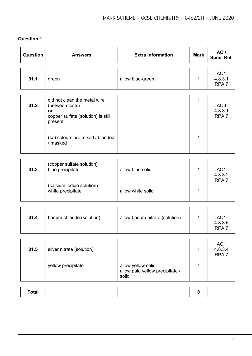| Question     | <b>Answers</b>                                                                                                                                         | <b>Extra information</b>                              | <b>Mark</b>      | AO/<br>Spec. Ref.                              |
|--------------|--------------------------------------------------------------------------------------------------------------------------------------------------------|-------------------------------------------------------|------------------|------------------------------------------------|
| 01.1         | green                                                                                                                                                  | allow blue-green                                      | $\mathbf 1$      | AO <sub>1</sub><br>4.8.3.1<br>RPA <sub>7</sub> |
| 01.2         | did not clean the metal wire<br>(between tests)<br>or<br>copper sulfate (solution) is still<br>present<br>(so) colours are mixed / blended<br>/ masked |                                                       | $\mathbf 1$<br>1 | AO <sub>3</sub><br>4.8.3.1<br>RPA <sub>7</sub> |
| 01.3         | (copper sulfate solution)<br>blue precipitate<br>(calcium iodide solution)<br>white precipitate                                                        | allow blue solid<br>allow white solid                 | 1<br>$\mathbf 1$ | AO <sub>1</sub><br>4.8.3.2<br>RPA <sub>7</sub> |
| 01.4         | barium chloride (solution)                                                                                                                             | allow barium nitrate (solution)                       | $\mathbf 1$      | AO <sub>1</sub><br>4.8.3.5<br>RPA <sub>7</sub> |
| 01.5         | silver nitrate (solution)<br>yellow precipitate                                                                                                        | allow yellow solid<br>allow pale yellow precipitate / | 1<br>1           | AO <sub>1</sub><br>4.8.3.4<br>RPA <sub>7</sub> |
| <b>Total</b> |                                                                                                                                                        | solid                                                 | 8                |                                                |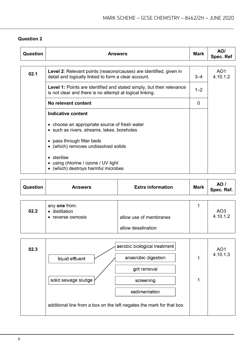| Question | <b>Answers</b>                                                                                                                           |         | AO/<br>Spec. Ref            |
|----------|------------------------------------------------------------------------------------------------------------------------------------------|---------|-----------------------------|
|          |                                                                                                                                          |         |                             |
| 02.1     | Level 2: Relevant points (reasons/causes) are identified, given in<br>detail and logically linked to form a clear account.               | $3 - 4$ | AO <sub>1</sub><br>4.10.1.2 |
|          | <b>Level 1:</b> Points are identified and stated simply, but their relevance<br>is not clear and there is no attempt at logical linking. | $1 - 2$ |                             |
|          | No relevant content                                                                                                                      | 0       |                             |
|          | <b>Indicative content</b>                                                                                                                |         |                             |
|          | • choose an appropriate source of fresh water<br>• such as rivers, streams, lakes, boreholes                                             |         |                             |
|          | • pass through filter beds<br>• (which) removes undissolved solids                                                                       |         |                             |
|          | • sterilise<br>• using chlorine / ozone / UV light<br>• (which) destroys harmful microbes                                                |         |                             |

| <b>Question</b> | <b>Answers</b>                      | <b>Extra information</b> | <b>Mark</b> | AO /<br>Spec. Ref.          |
|-----------------|-------------------------------------|--------------------------|-------------|-----------------------------|
|                 | any one from:                       |                          |             |                             |
| 02.2            | • distillation<br>• reverse osmosis | allow use of membranes   |             | AO <sub>3</sub><br>4.10.1.2 |
|                 |                                     | allow desalination       |             |                             |

| 02.3 | aerobic biological treatment<br>anaerobic digestion<br>liquid effluent | AO <sub>1</sub><br>4.10.1.3 |
|------|------------------------------------------------------------------------|-----------------------------|
|      | grit removal                                                           |                             |
|      | solid sewage sludge<br>screening                                       |                             |
|      | sedimentation                                                          |                             |
|      | additional line from a box on the left negates the mark for that box   |                             |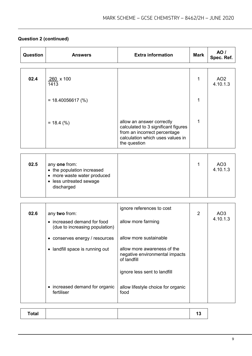# **Question 2 (continued)**

| Question | <b>Answers</b>                                                                                                      | <b>Extra information</b>                                                                                                                             | <b>Mark</b>    | <b>AO</b> /<br>Spec. Ref.   |
|----------|---------------------------------------------------------------------------------------------------------------------|------------------------------------------------------------------------------------------------------------------------------------------------------|----------------|-----------------------------|
|          |                                                                                                                     |                                                                                                                                                      |                |                             |
| 02.4     | 260 x 100<br>1413                                                                                                   |                                                                                                                                                      | 1              | AO <sub>2</sub><br>4.10.1.3 |
|          | $= 18.40056617 \, (%)$                                                                                              |                                                                                                                                                      | 1              |                             |
|          | $= 18.4$ (%)                                                                                                        | allow an answer correctly<br>calculated to 3 significant figures<br>from an incorrect percentage<br>calculation which uses values in<br>the question | 1              |                             |
|          |                                                                                                                     |                                                                                                                                                      |                |                             |
| 02.5     | any one from:<br>• the population increased<br>• more waste water produced<br>• less untreated sewage<br>discharged |                                                                                                                                                      | 1              | AO <sub>3</sub><br>4.10.1.3 |
|          |                                                                                                                     |                                                                                                                                                      |                |                             |
| 02.6     | any two from:<br>• increased demand for food<br>(due to increasing population)                                      | ignore references to cost<br>allow more farming                                                                                                      | $\overline{2}$ | AO <sub>3</sub><br>4.10.1.3 |
|          | • conserves energy / resources                                                                                      | allow more sustainable                                                                                                                               |                |                             |
|          | • landfill space is running out                                                                                     | allow more awareness of the<br>negative environmental impacts<br>of landfill                                                                         |                |                             |
|          |                                                                                                                     | ignore less sent to landfill                                                                                                                         |                |                             |
|          | • increased demand for organic<br>fertiliser                                                                        | allow lifestyle choice for organic<br>food                                                                                                           |                |                             |

| <b>Total</b> |  |
|--------------|--|
|--------------|--|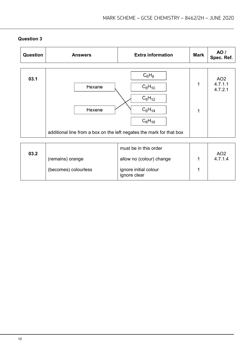| Question | <b>Answers</b>                                                                           | <b>Extra information</b>                                                   | <b>Mark</b> | AO /<br>Spec. Ref.                    |
|----------|------------------------------------------------------------------------------------------|----------------------------------------------------------------------------|-------------|---------------------------------------|
| 03.1     | Hexane<br>Hexene<br>additional line from a box on the left negates the mark for that box | $C_6H_8$<br>$C_6H_{10}$<br>$C_6H_{12}$<br>$C_6H_{14}$<br>$C_6H_{16}$       | 1<br>1      | AO <sub>2</sub><br>4.7.1.1<br>4.7.2.1 |
| 03.2     | (remains) orange<br>(becomes) colourless                                                 | must be in this order<br>allow no (colour) change<br>ignore initial colour | 1<br>1      | AO <sub>2</sub><br>4.7.1.4            |

ignore clear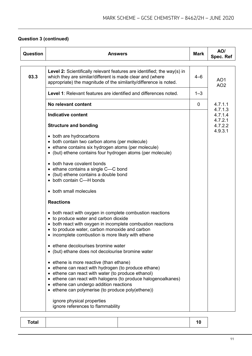# **Question 3 (continued)**

| <b>Question</b> | <b>Answers</b>                                                                                                                                                                                                                                                                                                                                                                                                                                                                                                                                                                                                                                                                                                                                                                                                                                                                                                                                                                                                                                                                                                                                         | <b>Mark</b> | AO/<br>Spec. Ref                                    |
|-----------------|--------------------------------------------------------------------------------------------------------------------------------------------------------------------------------------------------------------------------------------------------------------------------------------------------------------------------------------------------------------------------------------------------------------------------------------------------------------------------------------------------------------------------------------------------------------------------------------------------------------------------------------------------------------------------------------------------------------------------------------------------------------------------------------------------------------------------------------------------------------------------------------------------------------------------------------------------------------------------------------------------------------------------------------------------------------------------------------------------------------------------------------------------------|-------------|-----------------------------------------------------|
| 03.3            | Level 2: Scientifically relevant features are identified; the way(s) in<br>which they are similar/different is made clear and (where<br>appropriate) the magnitude of the similarity/difference is noted.                                                                                                                                                                                                                                                                                                                                                                                                                                                                                                                                                                                                                                                                                                                                                                                                                                                                                                                                              | 4–6         | AO <sub>1</sub><br>AO <sub>2</sub>                  |
|                 | Level 1: Relevant features are identified and differences noted.                                                                                                                                                                                                                                                                                                                                                                                                                                                                                                                                                                                                                                                                                                                                                                                                                                                                                                                                                                                                                                                                                       | $1 - 3$     |                                                     |
|                 | No relevant content                                                                                                                                                                                                                                                                                                                                                                                                                                                                                                                                                                                                                                                                                                                                                                                                                                                                                                                                                                                                                                                                                                                                    | 0           | 4.7.1.1                                             |
|                 | <b>Indicative content</b><br><b>Structure and bonding</b><br>• both are hydrocarbons<br>• both contain two carbon atoms (per molecule)<br>• ethane contains six hydrogen atoms (per molecule)<br>• (but) ethene contains four hydrogen atoms (per molecule)<br>• both have covalent bonds<br>• ethane contains a single C-C bond<br>• (but) ethene contains a double bond<br>• both contain C-H bonds<br>• both small molecules<br><b>Reactions</b><br>• both react with oxygen in complete combustion reactions<br>• to produce water and carbon dioxide<br>• both react with oxygen in incomplete combustion reactions<br>• to produce water, carbon monoxide and carbon<br>• incomplete combustion is more likely with ethene<br>• ethene decolourises bromine water<br>• (but) ethane does not decolourise bromine water<br>• ethene is more reactive (than ethane)<br>• ethene can react with hydrogen (to produce ethane)<br>• ethene can react with water (to produce ethanol)<br>• ethene can react with halogens (to produce halogenoalkanes)<br>• ethene can undergo addition reactions<br>• ethene can polymerise (to produce poly(ethene)) |             | 4.7.1.3<br>4.7.1.4<br>4.7.2.1<br>4.7.2.2<br>4.9.3.1 |
|                 | ignore physical properties<br>ignore references to flammability                                                                                                                                                                                                                                                                                                                                                                                                                                                                                                                                                                                                                                                                                                                                                                                                                                                                                                                                                                                                                                                                                        |             |                                                     |

| <b>Total</b><br>ιu |
|--------------------|
|--------------------|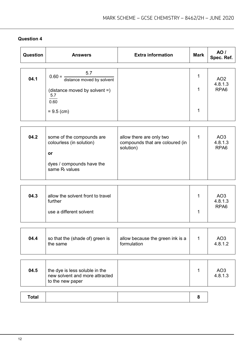| 5.7<br>1<br>$0.60 = \frac{1}{distance}$ moved by solvent<br>04.1<br>AO <sub>2</sub><br>4.8.1.3<br>RPA <sub>6</sub><br>1<br>(distance moved by solvent =)<br>5.7<br>0.60<br>1<br>$= 9.5$ (cm)<br>04.2<br>some of the compounds are<br>allow there are only two<br>AO <sub>3</sub><br>1<br>compounds that are coloured (in<br>4.8.1.3<br>colourless (in solution)<br>RPA6<br>solution)<br>or<br>dyes / compounds have the<br>same $R_f$ values<br>allow the solvent front to travel<br>04.3<br>AO <sub>3</sub><br>1<br>4.8.1.3<br>further<br>RPA <sub>6</sub><br>use a different solvent<br>1<br>04.4<br>so that the (shade of) green is<br>allow because the green ink is a<br>1<br>AO <sub>3</sub><br>formulation<br>4.8.1.2<br>the same<br>04.5<br>AO <sub>3</sub><br>the dye is less soluble in the<br>1<br>new solvent and more attracted<br>4.8.1.3<br>to the new paper | Question | <b>Answers</b> | <b>Extra information</b> | <b>Mark</b> | <b>AO</b> /<br>Spec. Ref. |
|-----------------------------------------------------------------------------------------------------------------------------------------------------------------------------------------------------------------------------------------------------------------------------------------------------------------------------------------------------------------------------------------------------------------------------------------------------------------------------------------------------------------------------------------------------------------------------------------------------------------------------------------------------------------------------------------------------------------------------------------------------------------------------------------------------------------------------------------------------------------------------|----------|----------------|--------------------------|-------------|---------------------------|
|                                                                                                                                                                                                                                                                                                                                                                                                                                                                                                                                                                                                                                                                                                                                                                                                                                                                             |          |                |                          |             |                           |
|                                                                                                                                                                                                                                                                                                                                                                                                                                                                                                                                                                                                                                                                                                                                                                                                                                                                             |          |                |                          |             |                           |
|                                                                                                                                                                                                                                                                                                                                                                                                                                                                                                                                                                                                                                                                                                                                                                                                                                                                             |          |                |                          |             |                           |
|                                                                                                                                                                                                                                                                                                                                                                                                                                                                                                                                                                                                                                                                                                                                                                                                                                                                             |          |                |                          |             |                           |
|                                                                                                                                                                                                                                                                                                                                                                                                                                                                                                                                                                                                                                                                                                                                                                                                                                                                             |          |                |                          |             |                           |
|                                                                                                                                                                                                                                                                                                                                                                                                                                                                                                                                                                                                                                                                                                                                                                                                                                                                             |          |                |                          |             |                           |
|                                                                                                                                                                                                                                                                                                                                                                                                                                                                                                                                                                                                                                                                                                                                                                                                                                                                             |          |                |                          |             |                           |
|                                                                                                                                                                                                                                                                                                                                                                                                                                                                                                                                                                                                                                                                                                                                                                                                                                                                             |          |                |                          |             |                           |
|                                                                                                                                                                                                                                                                                                                                                                                                                                                                                                                                                                                                                                                                                                                                                                                                                                                                             |          |                |                          |             |                           |
| <b>Total</b><br>8                                                                                                                                                                                                                                                                                                                                                                                                                                                                                                                                                                                                                                                                                                                                                                                                                                                           |          |                |                          |             |                           |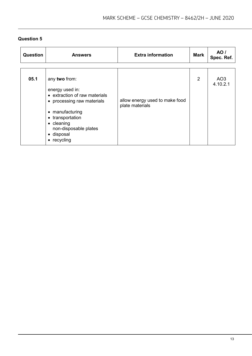| Question | <b>Answers</b>                                                                                                                                                                                                                | <b>Extra information</b>                          | <b>Mark</b> | AO /<br>Spec. Ref. |
|----------|-------------------------------------------------------------------------------------------------------------------------------------------------------------------------------------------------------------------------------|---------------------------------------------------|-------------|--------------------|
|          |                                                                                                                                                                                                                               |                                                   |             |                    |
| 05.1     | any two from:<br>energy used in:<br>• extraction of raw materials<br>• processing raw materials<br>manufacturing<br>$\bullet$<br>• transportation<br>$\bullet$ cleaning<br>non-disposable plates<br>· disposal<br>• recycling | allow energy used to make food<br>plate materials | 2           | AO3<br>4.10.2.1    |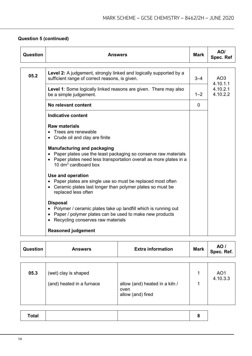# **Question 5 (continued)**

| Question | Answers                                                                                                                                                                                                  | <b>Mark</b> | AO/<br>Spec. Ref                 |
|----------|----------------------------------------------------------------------------------------------------------------------------------------------------------------------------------------------------------|-------------|----------------------------------|
| 05.2     | Level 2: A judgement, strongly linked and logically supported by a<br>sufficient range of correct reasons, is given.                                                                                     | $3 - 4$     | AO <sub>3</sub>                  |
|          | <b>Level 1:</b> Some logically linked reasons are given. There may also<br>be a simple judgement.                                                                                                        | $1 - 2$     | 4.10.1.1<br>4.10.2.1<br>4.10.2.2 |
|          | No relevant content                                                                                                                                                                                      | $\Omega$    |                                  |
|          | <b>Indicative content</b>                                                                                                                                                                                |             |                                  |
|          | <b>Raw materials</b><br>Trees are renewable<br>$\bullet$<br>• Crude oil and clay are finite                                                                                                              |             |                                  |
|          | <b>Manufacturing and packaging</b><br>• Paper plates use the least packaging so conserve raw materials<br>• Paper plates need less transportation overall as more plates in a<br>10 $dm^3$ cardboard box |             |                                  |
|          | Use and operation<br>• Paper plates are single use so must be replaced most often<br>• Ceramic plates last longer than polymer plates so must be<br>replaced less often                                  |             |                                  |
|          | <b>Disposal</b><br>• Polymer / ceramic plates take up landfill which is running out<br>• Paper / polymer plates can be used to make new products<br>• Recycling conserves raw materials                  |             |                                  |
|          | <b>Reasoned judgement</b>                                                                                                                                                                                |             |                                  |

| <b>Question</b> | <b>Answers</b>                                    | <b>Extra information</b>                                    | <b>Mark</b> | AO /<br>Spec. Ref.          |
|-----------------|---------------------------------------------------|-------------------------------------------------------------|-------------|-----------------------------|
|                 |                                                   |                                                             |             |                             |
| 05.3            | (wet) clay is shaped<br>(and) heated in a furnace | allow (and) heated in a kiln /<br>oven<br>allow (and) fired | 1<br>1      | AO <sub>1</sub><br>4.10.3.3 |

| <b>Total</b> |  |
|--------------|--|
|--------------|--|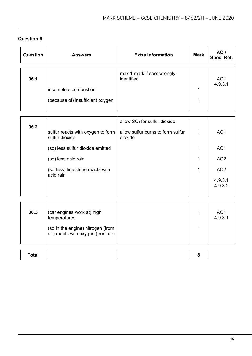| <b>Question</b> | <b>Answers</b>                                                                                                                                                 | <b>Extra information</b>                                                       | <b>Mark</b>       | <b>AO</b> /<br>Spec. Ref.                                                                      |
|-----------------|----------------------------------------------------------------------------------------------------------------------------------------------------------------|--------------------------------------------------------------------------------|-------------------|------------------------------------------------------------------------------------------------|
| 06.1            | incomplete combustion<br>(because of) insufficient oxygen                                                                                                      | max 1 mark if soot wrongly<br>identified                                       | $\mathbf{1}$<br>1 | AO <sub>1</sub><br>4.9.3.1                                                                     |
| 06.2            | sulfur reacts with oxygen to form<br>sulfur dioxide<br>(so) less sulfur dioxide emitted<br>(so) less acid rain<br>(so less) limestone reacts with<br>acid rain | allow $SO2$ for sulfur dioxide<br>allow sulfur burns to form sulfur<br>dioxide | 1<br>1<br>1<br>1  | AO <sub>1</sub><br>AO <sub>1</sub><br>AO <sub>2</sub><br>AO <sub>2</sub><br>4.9.3.1<br>4.9.3.2 |
| 06.3            | (car engines work at) high<br>temperatures<br>(so in the engine) nitrogen (from                                                                                |                                                                                | 1<br>1            | AO <sub>1</sub><br>4.9.3.1                                                                     |

| <b>Total</b> |  |  |
|--------------|--|--|

(so in the engine) nitrogen (from air) reacts with oxygen (from air)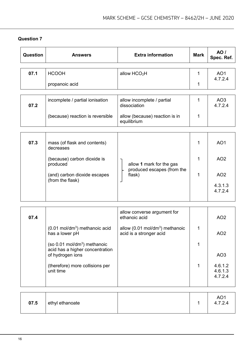| Question | <b>Answers</b>                                                                                                                                                                                                | <b>Extra information</b>                                                                                               | <b>Mark</b>       | <b>AO</b> /<br>Spec. Ref.                                                              |
|----------|---------------------------------------------------------------------------------------------------------------------------------------------------------------------------------------------------------------|------------------------------------------------------------------------------------------------------------------------|-------------------|----------------------------------------------------------------------------------------|
| 07.1     | <b>HCOOH</b><br>propanoic acid                                                                                                                                                                                | allow HCO <sub>2</sub> H                                                                                               | $\mathbf 1$<br>1  | AO <sub>1</sub><br>4.7.2.4                                                             |
| 07.2     | incomplete / partial ionisation<br>(because) reaction is reversible                                                                                                                                           | allow incomplete / partial<br>dissociation<br>allow (because) reaction is in<br>equilibrium                            | $\mathbf{1}$<br>1 | AO3<br>4.7.2.4                                                                         |
| 07.3     | mass (of flask and contents)<br>decreases<br>(because) carbon dioxide is<br>produced<br>(and) carbon dioxide escapes<br>(from the flask)                                                                      | allow 1 mark for the gas<br>produced escapes (from the<br>flask)                                                       | 1<br>1<br>1       | AO <sub>1</sub><br>AO <sub>2</sub><br>AO <sub>2</sub><br>4.3.1.3<br>4.7.2.4            |
| 07.4     | $(0.01 \text{ mol/dm}^3)$ methanoic acid<br>has a lower pH<br>(so 0.01 mol/dm <sup>3</sup> ) methanoic<br>acid has a higher concentration<br>of hydrogen ions<br>(therefore) more collisions per<br>unit time | allow converse argument for<br>ethanoic acid<br>allow (0.01 mol/dm <sup>3</sup> ) methanoic<br>acid is a stronger acid | 1<br>1<br>1       | AO <sub>2</sub><br>AO <sub>2</sub><br>AO <sub>3</sub><br>4.6.1.2<br>4.6.1.3<br>4.7.2.4 |
| 07.5     | ethyl ethanoate                                                                                                                                                                                               |                                                                                                                        | 1                 | AO <sub>1</sub><br>4.7.2.4                                                             |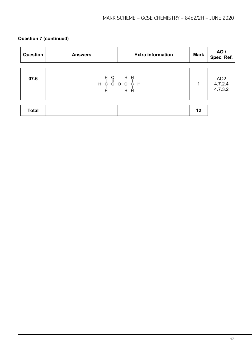# **Question 7 (continued)**

| <b>Question</b> | <b>Answers</b>                               | <b>Extra information</b> | <b>Mark</b> | AO /<br>Spec. Ref.                    |
|-----------------|----------------------------------------------|--------------------------|-------------|---------------------------------------|
| 07.6            | H P P H<br>H-C-C-O-C-H<br>H H H H<br>H H H H |                          | 1           | AO <sub>2</sub><br>4.7.2.4<br>4.7.3.2 |
| <b>Total</b>    |                                              |                          | 12          |                                       |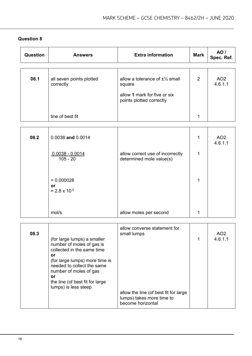| <b>Question</b> | <b>Answers</b>                               | <b>Extra information</b>                                                                                          | <b>Mark</b>    | <b>AO</b> /<br>Spec. Ref.  |
|-----------------|----------------------------------------------|-------------------------------------------------------------------------------------------------------------------|----------------|----------------------------|
|                 |                                              |                                                                                                                   |                |                            |
| 08.1            | all seven points plotted<br>correctly        | allow a tolerance of $\pm\frac{1}{2}$ small<br>square<br>allow 1 mark for five or six<br>points plotted correctly | $\overline{2}$ | AO <sub>2</sub><br>4.6.1.1 |
|                 |                                              |                                                                                                                   |                |                            |
|                 | line of best fit                             |                                                                                                                   | 1              |                            |
|                 |                                              |                                                                                                                   |                |                            |
| 08.2            | 0.0038 and 0.0014                            |                                                                                                                   | 1              | AO <sub>2</sub><br>4.6.1.1 |
|                 | $0.0038 - 0.0014$<br>$105 - 20$              | allow correct use of incorrectly<br>determined mole value(s)                                                      | $\mathbf{1}$   |                            |
|                 | $= 0.000028$<br>or<br>$= 2.8 \times 10^{-5}$ |                                                                                                                   | 1              |                            |
|                 | mol/s                                        | allow moles per second                                                                                            | 1              |                            |
|                 |                                              | allow converse atotomont for                                                                                      |                |                            |

| 08.3 | (for large lumps) a smaller<br>number of moles of gas is<br>collected in the same time<br>or                                                            | allow converse statement for<br>small lumps                                             | AO <sub>2</sub><br>4.6.1.1 |
|------|---------------------------------------------------------------------------------------------------------------------------------------------------------|-----------------------------------------------------------------------------------------|----------------------------|
|      | (for large lumps) more time is<br>needed to collect the same<br>number of moles of gas<br>or<br>the line (of best fit for large<br>lumps) is less steep | allow the line (of best fit for large<br>lumps) takes more time to<br>become horizontal |                            |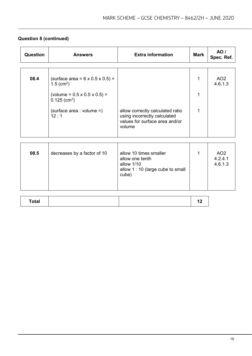| Question | <b>Answers</b>                                                                 | <b>Extra information</b>                                                                                     | <b>Mark</b> | <b>AO</b> /<br>Spec. Ref.             |
|----------|--------------------------------------------------------------------------------|--------------------------------------------------------------------------------------------------------------|-------------|---------------------------------------|
|          |                                                                                |                                                                                                              |             |                                       |
| 08.4     | (surface area = $6 \times 0.5 \times 0.5$ ) =<br>1.5 (cm <sup>2</sup> )        |                                                                                                              | 1           | AO <sub>2</sub><br>4.6.1.3            |
|          | $\text{(volume = } 0.5 \times 0.5 \times 0.5) =$<br>$0.125$ (cm <sup>3</sup> ) |                                                                                                              | 1           |                                       |
|          | (surface area : volume =)<br>12:1                                              | allow correctly calculated ratio<br>using incorrectly calculated<br>values for surface area and/or<br>volume | 1           |                                       |
|          |                                                                                |                                                                                                              |             |                                       |
| 08.5     | decreases by a factor of 10                                                    | allow 10 times smaller<br>allow one tenth<br>allow 1/10<br>allow 1 : 10 (large cube to small<br>cube)        | 1           | AO <sub>2</sub><br>4.2.4.1<br>4.6.1.3 |
|          |                                                                                |                                                                                                              |             |                                       |

# **Question 8 (continued)**

|--|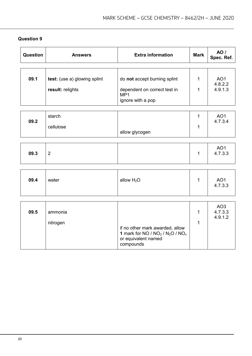| Question | <b>Answers</b>               | <b>Extra information</b>                                                                                     | <b>Mark</b>      | <b>AO</b> /<br>Spec. Ref.             |
|----------|------------------------------|--------------------------------------------------------------------------------------------------------------|------------------|---------------------------------------|
|          |                              |                                                                                                              |                  |                                       |
| 09.1     | test: (use a) glowing splint | do not accept burning splint                                                                                 | $\mathbf{1}$     | AO <sub>1</sub><br>4.8.2.2            |
|          | result: relights             | dependent on correct test in<br>MP <sub>1</sub>                                                              | $\mathbf{1}$     | 4.9.1.3                               |
|          |                              | ignore with a pop                                                                                            |                  |                                       |
|          |                              |                                                                                                              |                  |                                       |
| 09.2     | starch                       |                                                                                                              | $\mathbf{1}$     | AO <sub>1</sub><br>4.7.3.4            |
|          | cellulose                    |                                                                                                              | $\mathbf{1}$     |                                       |
|          |                              | allow glycogen                                                                                               |                  |                                       |
|          |                              |                                                                                                              |                  |                                       |
| 09.3     | $\overline{2}$               |                                                                                                              | $\mathbf{1}$     | AO <sub>1</sub><br>4.7.3.3            |
|          |                              |                                                                                                              |                  |                                       |
| 09.4     | water                        | allow $H_2O$                                                                                                 | 1                | AO <sub>1</sub><br>4.7.3.3            |
|          |                              |                                                                                                              |                  |                                       |
| 09.5     | ammonia<br>nitrogen          |                                                                                                              | $\mathbf 1$<br>1 | AO <sub>3</sub><br>4.7.3.3<br>4.9.1.2 |
|          |                              | if no other mark awarded, allow<br>1 mark for NO / $NO2$ / $N2O$ / $NOx$<br>or equivalent named<br>compounds |                  |                                       |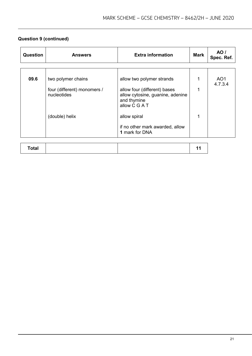# **Question 9 (continued)**

| Question | <b>Answers</b>                             | <b>Extra information</b>                                                                         | <b>Mark</b> | AO /<br>Spec. Ref.         |
|----------|--------------------------------------------|--------------------------------------------------------------------------------------------------|-------------|----------------------------|
|          |                                            |                                                                                                  |             |                            |
| 09.6     | two polymer chains                         | allow two polymer strands                                                                        |             | AO <sub>1</sub><br>4.7.3.4 |
|          | four (different) monomers /<br>nucleotides | allow four (different) bases<br>allow cytosine, guanine, adenine<br>and thymine<br>allow C G A T |             |                            |
|          | (double) helix                             | allow spiral                                                                                     |             |                            |
|          |                                            | if no other mark awarded, allow<br>1 mark for DNA                                                |             |                            |
|          |                                            |                                                                                                  |             |                            |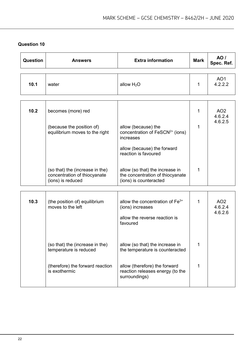| Question | <b>Answers</b>                                                                       | <b>Extra information</b>                                                                                        | <b>Mark</b>  | <b>AO</b> /<br>Spec. Ref.             |
|----------|--------------------------------------------------------------------------------------|-----------------------------------------------------------------------------------------------------------------|--------------|---------------------------------------|
| 10.1     | water                                                                                | allow H <sub>2</sub> O                                                                                          | $\mathbf{1}$ | AO <sub>1</sub><br>4.2.2.2            |
| 10.2     | becomes (more) red<br>(because the position of)                                      | allow (because) the                                                                                             | 1<br>1       | AO <sub>2</sub><br>4.6.2.4<br>4.6.2.5 |
|          | equilibrium moves to the right                                                       | concentration of FeSCN <sup>2+</sup> (ions)<br>increases<br>allow (because) the forward<br>reaction is favoured |              |                                       |
|          | (so that) the (increase in the)<br>concentration of thiocyanate<br>(ions) is reduced | allow (so that) the increase in<br>the concentration of thiocyanate<br>(ions) is counteracted                   | 1            |                                       |
| 10.3     | (the position of) equilibrium<br>moves to the left                                   | allow the concentration of $Fe3+$<br>(ions) increases<br>allow the reverse reaction is<br>favoured              | 1            | AO <sub>2</sub><br>4.6.2.4<br>4.6.2.6 |
|          | (so that) the (increase in the)<br>temperature is reduced                            | allow (so that) the increase in<br>the temperature is counteracted                                              | 1            |                                       |
|          | (therefore) the forward reaction<br>is exothermic                                    | allow (therefore) the forward<br>reaction releases energy (to the<br>surroundings)                              | 1            |                                       |